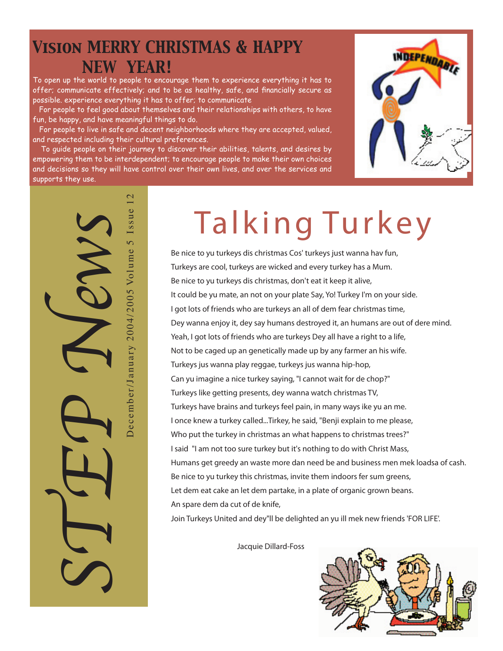# *Vision MERRY CHRISTMAS & HAPPY NEW YEAR!*

To open up the world to people to encourage them to experience everything it has to offer; communicate effectively; and to be as healthy, safe, and financially secure as possible. experience everything it has to offer; to communicate

 For people to feel good about themselves and their relationships with others, to have fun, be happy, and have meaningful things to do.

 For people to live in safe and decent neighborhoods where they are accepted, valued, and respected including their cultural preferences.

 To guide people on their journey to discover their abilities, talents, and desires by empowering them to be interdependent; to encourage people to make their own choices and decisions so they will have control over their own lives, and over the services and supports they use.



 $\mathcal{C}$ December/January 2004/2005 Volume 5 Issue 12 December/January 2004/2005 Volume 5 Issue STEP News

# Talking Turkey

**Be nice to yu turkeys dis christmas Cos' turkeys just wanna hav fun, Turkeys are cool, turkeys are wicked and every turkey has a Mum. Be nice to yu turkeys dis christmas, don't eat it keep it alive, It could be yu mate, an not on your plate Say, Yo! Turkey I'm on your side. I got lots of friends who are turkeys an all of dem fear christmas time, Dey wanna enjoy it, dey say humans destroyed it, an humans are out of dere mind. Yeah, I got lots of friends who are turkeys Dey all have a right to a life, Not to be caged up an genetically made up by any farmer an his wife. Turkeys jus wanna play reggae, turkeys jus wanna hip-hop, Can yu imagine a nice turkey saying, "I cannot wait for de chop?" Turkeys like getting presents, dey wanna watch christmas TV, Turkeys have brains and turkeys feel pain, in many ways ike yu an me. I once knew a turkey called...Tirkey, he said, "Benji explain to me please, Who put the turkey in christmas an what happens to christmas trees?" I said "I am not too sure turkey but it's nothing to do with Christ Mass, Humans get greedy an waste more dan need be and business men mek loadsa of cash. Be nice to yu turkey this christmas, invite them indoors fer sum greens, Let dem eat cake an let dem partake, in a plate of organic grown beans. An spare dem da cut of de knife,**

**Join Turkeys United and dey"ll be delighted an yu ill mek new friends 'FOR LIFE'.**

 **Jacquie Dillard-Foss**

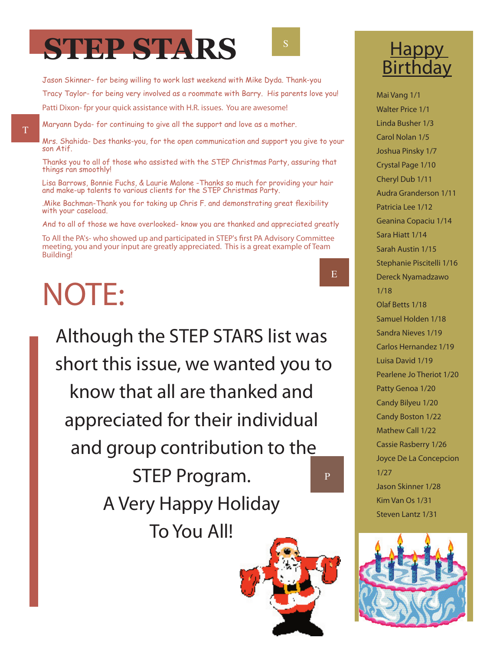

Jason Skinner- for being willing to work last weekend with Mike Dyda. Thank-you Tracy Taylor- for being very involved as a roommate with Barry. His parents love you! *Patti Dixon- fpr your quick assistance with H.R. issues. You are awesome!*

Maryann Dyda- for continuing to give all the support and love as a mother.

Mrs. Shahida- Des thanks-you, for the open communication and support you give to your son Atif.

Thanks you to all of those who assisted with the STEP Christmas Party, assuring that things ran smoothly!

Lisa Barrows, Bonnie Fuchs, & Laurie Malone -Thanks so much for providing your hair and make-up talents to various clients for the STEP Christmas Party.

.Mike Bachman-Thank you for taking up Chris F. and demonstrating great flexibility with your caseload.

And to all of those we have overlooked- know you are thanked and appreciated greatly

*To All the PA's- who showed up and participated in STEP's first PA Advisory Committee meeting, you and your input are greatly appreciated. This is a great example of Team Building!*

# NOTE:

*Although the STEP STARS list was short this issue, we wanted you to know that all are thanked and appreciated for their individual and group contribution to the STEP Program. A Very Happy Holiday To You All!* P





**Mai Vang 1/1 Walter Price 1/1 Linda Busher 1/3 Carol Nolan 1/5 Joshua Pinsky 1/7 Crystal Page 1/10 Cheryl Dub 1/11 Audra Granderson 1/11 Patricia Lee 1/12 Geanina Copaciu 1/14 Sara Hiatt 1/14 Sarah Austin 1/15 Stephanie Piscitelli 1/16 Dereck Nyamadzawo 1/18 Olaf Betts 1/18 Samuel Holden 1/18 Sandra Nieves 1/19 Carlos Hernandez 1/19 Luisa David 1/19 Pearlene Jo Theriot 1/20 Patty Genoa 1/20 Candy Bilyeu 1/20 Candy Boston 1/22 Mathew Call 1/22 Cassie Rasberry 1/26 Joyce De La Concepcion 1/27 Jason Skinner 1/28 Kim Van Os 1/31**

E



**Steven Lantz 1/31**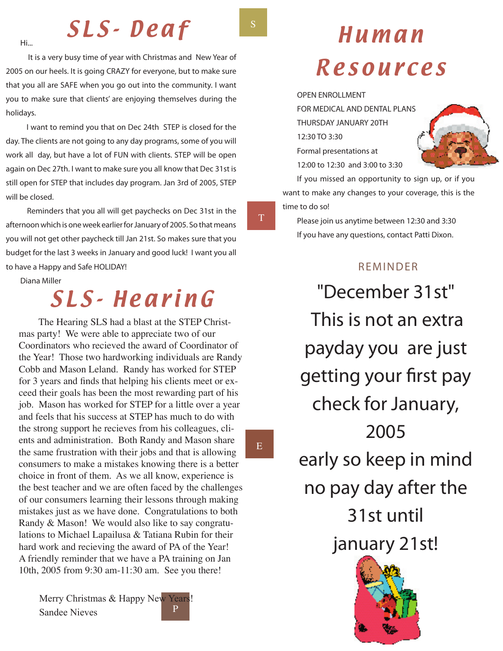### SLS-Deaf

 **It is a very busy time of year with Christmas and New Year of 2005 on our heels. It is going CRAZY for everyone, but to make sure that you all are SAFE when you go out into the community. I want you to make sure that clients' are enjoying themselves during the holidays.**

 **I want to remind you that on Dec 24th STEP is closed for the day. The clients are not going to any day programs, some of you will work all day, but have a lot of FUN with clients. STEP will be open again on Dec 27th. I want to make sure you all know that Dec 31st is still open for STEP that includes day program. Jan 3rd of 2005, STEP will be closed.**

 **Reminders that you all will get paychecks on Dec 31st in the afternoon which is one week earlier for January of 2005. So that means you will not get other paycheck till Jan 21st. So makes sure that you budget for the last 3 weeks in January and good luck! I want you all to have a Happy and Safe HOLIDAY!**

**Diana Miller**

**Hi...**

### SL S- He ar i n G

The Hearing SLS had a blast at the STEP Christmas party! We were able to appreciate two of our Coordinators who recieved the award of Coordinator of the Year! Those two hardworking individuals are Randy Cobb and Mason Leland. Randy has worked for STEP for 3 years and finds that helping his clients meet or exceed their goals has been the most rewarding part of his job. Mason has worked for STEP for a little over a year and feels that his success at STEP has much to do with the strong support he recieves from his colleagues, clients and administration. Both Randy and Mason share the same frustration with their jobs and that is allowing consumers to make a mistakes knowing there is a better choice in front of them. As we all know, experience is the best teacher and we are often faced by the challenges of our consumers learning their lessons through making mistakes just as we have done. Congratulations to both Randy & Mason! We would also like to say congratulations to Michael Lapailusa & Tatiana Rubin for their hard work and recieving the award of PA of the Year! A friendly reminder that we have a PA training on Jan 10th, 2005 from 9:30 am-11:30 am. See you there!

P Merry Christmas & Happy New Years! Sandee Nieves



## Human Resources

**OPEN ENROLLMENT**

**FOR MEDICAL AND DENTAL PLANS THURSDAY JANUARY 20TH 12:30 TO 3:30 Formal presentations at 12:00 to 12:30 and 3:00 to 3:30**



**If you missed an opportunity to sign up, or if you want to make any changes to your coverage, this is the time to do so!**

**Please join us anytime between 12:30 and 3:30 If you have any questions, contact Patti Dixon.**

### **REMINDER**

*"December 31st" This is not an extra payday you are just getting your first pay check for January, 2005 early so keep in mind no pay day after the 31st until january 21st!*



S

T

E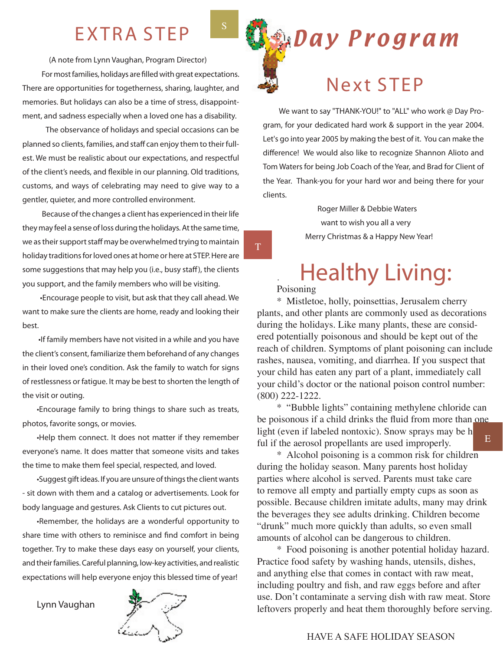### EXTRA STEP

 **(A note from Lynn Vaughan, Program Director)**

 **For most families, holidays are filled with great expectations. There are opportunities for togetherness, sharing, laughter, and memories. But holidays can also be a time of stress, disappointment, and sadness especially when a loved one has a disability.**

 **The observance of holidays and special occasions can be planned so clients, families, and staff can enjoy them to their fullest. We must be realistic about our expectations, and respectful of the client's needs, and flexible in our planning. Old traditions, customs, and ways of celebrating may need to give way to a gentler, quieter, and more controlled environment.**

 **Because of the changes a client has experienced in their life they may feel a sense of loss during the holidays. At the same time, we as their support staff may be overwhelmed trying to maintain holiday traditions for loved ones at home or here at STEP. Here are some suggestions that may help you (i.e., busy staff), the clients you support, and the family members who will be visiting.**

 **•Encourage people to visit, but ask that they call ahead. We want to make sure the clients are home, ready and looking their best.** 

 **•If family members have not visited in a while and you have the client's consent, familiarize them beforehand of any changes in their loved one's condition. Ask the family to watch for signs of restlessness or fatigue. It may be best to shorten the length of the visit or outing.**

**•Encourage family to bring things to share such as treats, photos, favorite songs, or movies.** 

**•Help them connect. It does not matter if they remember everyone's name. It does matter that someone visits and takes the time to make them feel special, respected, and loved.** 

**•Suggest gift ideas. If you are unsure of things the client wants - sit down with them and a catalog or advertisements. Look for body language and gestures. Ask Clients to cut pictures out.**

**•Remember, the holidays are a wonderful opportunity to share time with others to reminisce and find comfort in being together. Try to make these days easy on yourself, your clients, and their families. Careful planning, low-key activities, and realistic expectations will help everyone enjoy this blessed time of year!**

**Lynn Vaughan**





 **We want to say "THANK-YOU!" to "ALL" who work @ Day Program, for your dedicated hard work & support in the year 2004. Let's go into year 2005 by making the best of it. You can make the difference! We would also like to recognize Shannon Alioto and Tom Waters for being Job Coach of the Year, and Brad for Client of the Year. Thank-you for your hard wor and being there for your clients.**

> **Roger Miller & Debbie Waters want to wish you all a very Merry Christmas & a Happy New Year!**

## **Example 2 Healthy Living:**

T

S

\* Mistletoe, holly, poinsettias, Jerusalem cherry plants, and other plants are commonly used as decorations during the holidays. Like many plants, these are considered potentially poisonous and should be kept out of the reach of children. Symptoms of plant poisoning can include rashes, nausea, vomiting, and diarrhea. If you suspect that your child has eaten any part of a plant, immediately call your child's doctor or the national poison control number: (800) 222-1222.

\* "Bubble lights" containing methylene chloride can be poisonous if a child drinks the fluid from more than one light (even if labeled nontoxic). Snow sprays may be h ful if the aerosol propellants are used improperly. E

\* Alcohol poisoning is a common risk for children during the holiday season. Many parents host holiday parties where alcohol is served. Parents must take care to remove all empty and partially empty cups as soon as possible. Because children imitate adults, many may drink the beverages they see adults drinking. Children become "drunk" much more quickly than adults, so even small amounts of alcohol can be dangerous to children.

\* Food poisoning is another potential holiday hazard. Practice food safety by washing hands, utensils, dishes, and anything else that comes in contact with raw meat, including poultry and fish, and raw eggs before and after use. Don't contaminate a serving dish with raw meat. Store leftovers properly and heat them thoroughly before serving.

#### HAVE A SAFE HOLIDAY SEASON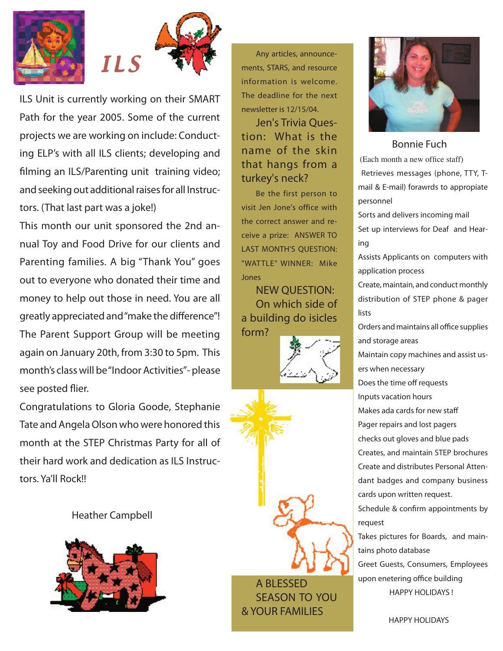



*ILS Unit is currently working on their SMART Path for the year 2005. Some of the current projects we are working on include: Conducting ELP's with all ILS clients; developing and filming an ILS/Parenting unit training video; and seeking out additional raises for all Instructors. (That last part was a joke!)* 

*This month our unit sponsored the 2nd annual Toy and Food Drive for our clients and Parenting families. A big "Thank You" goes out to everyone who donated their time and money to help out those in need. You are all greatly appreciated and "make the difference"! The Parent Support Group will be meeting again on January 20th, from 3:30 to 5pm. This month's class will be "Indoor Activities"- please see posted flier.*

*Congratulations to Gloria Goode, Stephanie Tate and Angela Olson who were honored this month at the STEP Christmas Party for all of their hard work and dedication as ILS Instructors. Ya'll Rock!!*

 *Heather Campbell*



**Any articles, announcements, STARS, and resource information is welcome. The deadline for the next newsletter is 12/15/04.**

**Jen's Trivia Question: What is the name of the skin that hangs from a turkey's neck?**

**Be the first person to visit Jen Jone's office with the correct answer and receive a prize: ANSWER TO LAST MONTH'S QUESTION: "WATTLE" WINNER: Mike Jones**

**NEW QUESTION: On which side of a building do isicles form?**







#### *Bonnie Fuch*

(Each month a new office staff) **Retrieves messages (phone, TTY, Tmail & E-mail) forawrds to appropiate personnel**

**Sorts and delivers incoming mail Set up interviews for Deaf and Hearing**

**Assists Applicants on computers with application process**

**Create, maintain, and conduct monthly distribution of STEP phone & pager lists**

**Orders and maintains all office supplies and storage areas**

**Maintain copy machines and assist users when necessary**

**Does the time off requests**

**Inputs vacation hours**

**Makes ada cards for new staff**

**Pager repairs and lost pagers**

**checks out gloves and blue pads**

**Creates, and maintain STEP brochures Create and distributes Personal Attendant badges and company business cards upon written request.** 

**Schedule & confirm appointments by request** 

**Takes pictures for Boards, and maintains photo database**

**Greet Guests, Consumers, Employees upon enetering office building HAPPY HOLIDAYS !** 

 **HAPPY HOLIDAYS**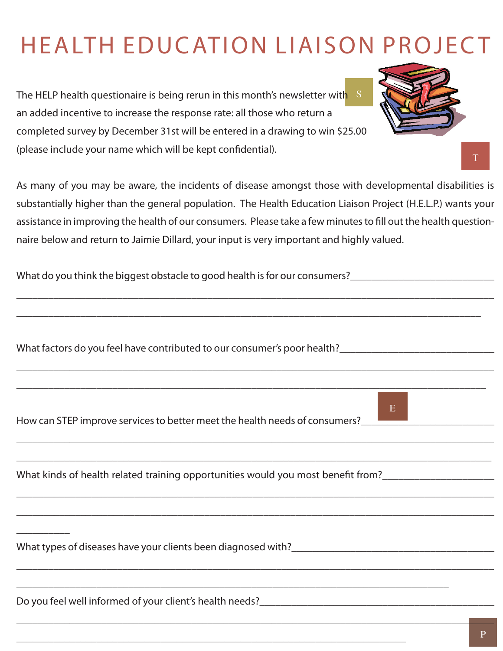## HE ALTH EDUCATION LIAISON PROJECT

S l<br>... *The HELP health questionaire is being rerun in this month's newsletter with an added incentive to increase the response rate: all those who return a completed survey by December 31st will be entered in a drawing to win \$25.00 (please include your name which will be kept confidential).* 

*As many of you may be aware, the incidents of disease amongst those with developmental disabilities is substantially higher than the general population. The Health Education Liaison Project (H.E.L.P.) wants your assistance in improving the health of our consumers. Please take a few minutes to fill out the health questionnaire below and return to Jaimie Dillard, your input is very important and highly valued.*

*\_\_\_\_\_\_\_\_\_\_\_\_\_\_\_\_\_\_\_\_\_\_\_\_\_\_\_\_\_\_\_\_\_\_\_\_\_\_\_\_\_\_\_\_\_\_\_\_\_\_\_\_\_\_\_\_\_\_\_\_\_\_\_\_\_\_\_\_\_\_\_\_\_\_\_\_\_\_\_\_\_\_\_\_\_\_\_\_\_\_*

*\_\_\_\_\_\_\_\_\_\_\_\_\_\_\_\_\_\_\_\_\_\_\_\_\_\_\_\_\_\_\_\_\_\_\_\_\_\_\_\_\_\_\_\_\_\_\_\_\_\_\_\_\_\_\_\_\_\_\_\_\_\_\_\_\_\_\_\_\_\_\_\_\_\_\_\_\_\_\_\_\_\_\_\_\_\_\_\_\_\_*

*\_\_\_\_\_\_\_\_\_\_\_\_\_\_\_\_\_\_\_\_\_\_\_\_\_\_\_\_\_\_\_\_\_\_\_\_\_\_\_\_\_\_\_\_\_\_\_\_\_\_\_\_\_\_\_\_\_\_\_\_\_\_\_\_\_\_\_\_\_\_\_\_\_\_\_\_\_\_\_\_\_\_\_\_\_\_\_\_\_\_*

*\_\_\_\_\_\_\_\_\_\_\_\_\_\_\_\_\_\_\_\_\_\_\_\_\_\_\_\_\_\_\_\_\_\_\_\_\_\_\_\_\_\_\_\_\_\_\_\_\_\_\_\_\_\_\_\_\_\_\_\_\_\_\_\_\_\_\_\_\_\_\_\_\_\_\_\_\_\_\_\_\_\_\_\_\_\_\_\_\_*

*\_\_\_\_\_\_\_\_\_\_\_\_\_\_\_\_\_\_\_\_\_\_\_\_\_\_\_\_\_\_\_\_\_\_\_\_\_\_\_\_\_\_\_\_\_\_\_\_\_\_\_\_\_\_\_\_\_\_\_\_\_\_\_\_\_\_\_\_\_\_\_\_\_\_\_\_\_\_\_\_\_\_\_\_\_\_\_\_\_*

*\_\_\_\_\_\_\_\_\_\_\_\_\_\_\_\_\_\_\_\_\_\_\_\_\_\_\_\_\_\_\_\_\_\_\_\_\_\_\_\_\_\_\_\_\_\_\_\_\_\_\_\_\_\_\_\_\_\_\_\_\_\_\_\_\_\_\_\_\_\_\_\_\_\_\_\_\_\_\_\_\_\_\_\_\_\_\_\_\_*

*\_\_\_\_\_\_\_\_\_\_\_\_\_\_\_\_\_\_\_\_\_\_\_\_\_\_\_\_\_\_\_\_\_\_\_\_\_\_\_\_\_\_\_\_\_\_\_\_\_\_\_\_\_\_\_\_\_\_\_\_\_\_\_\_\_\_\_\_\_\_\_\_\_\_\_\_\_\_\_\_\_\_\_\_\_\_\_\_\_\_*

*\_\_\_\_\_\_\_\_\_\_\_\_\_\_\_\_\_\_\_\_\_\_\_\_\_\_\_\_\_\_\_\_\_\_\_\_\_\_\_\_\_\_\_\_\_\_\_\_\_\_\_\_\_\_\_\_\_\_\_\_\_\_\_\_\_\_\_\_\_\_\_\_\_\_\_\_\_\_\_\_\_\_\_\_\_\_\_\_\_\_*

*\_\_\_\_\_\_\_\_\_\_\_\_\_\_\_\_\_\_\_\_\_\_\_\_\_\_\_\_\_\_\_\_\_\_\_\_\_\_\_\_\_\_\_\_\_\_\_\_\_\_\_\_\_\_\_\_\_\_\_\_\_\_\_\_\_\_\_\_\_\_\_\_\_\_\_\_\_\_\_\_\_*

*\_\_\_\_\_\_\_\_\_\_\_\_\_\_\_\_\_\_\_\_\_\_\_\_\_\_\_\_\_\_\_\_\_\_\_\_\_\_\_\_\_\_\_\_\_\_\_\_\_\_\_\_\_\_\_\_\_\_\_\_\_\_\_\_\_\_\_\_\_\_\_\_\_*

*\_\_\_\_\_\_\_\_\_\_\_\_\_\_\_\_\_\_\_\_\_\_\_\_\_\_\_\_\_\_\_\_\_\_\_\_\_\_\_\_\_\_\_\_\_\_\_\_\_\_\_\_\_\_\_\_\_\_\_\_\_\_\_\_\_\_\_\_\_\_\_\_\_\_\_\_\_\_\_\_\_\_\_\_\_\_\_\_*

*\_\_\_\_\_\_\_\_\_\_\_\_\_\_\_\_\_\_\_\_\_\_\_\_\_\_\_\_\_\_\_\_\_\_\_\_\_\_\_\_\_\_\_\_\_\_\_\_\_\_\_\_\_\_\_\_\_\_\_\_\_\_\_\_\_\_\_\_\_\_\_\_\_\_\_\_\_\_\_\_\_\_\_\_\_\_\_*

*What do you think the biggest obstacle to good health is for our consumers?\_\_\_\_\_\_\_\_\_\_\_\_\_\_\_\_\_\_\_\_\_\_\_\_\_\_\_*

*What factors do you feel have contributed to our consumer's poor health?\_\_\_\_\_\_\_\_\_\_\_\_\_\_\_\_\_\_\_\_\_\_\_\_\_\_\_\_\_*

How can STEP improve services to better meet the health needs of consumers?

What kinds of health related training opportunities would you most benefit from?\_\_\_\_\_\_\_\_\_\_\_\_\_\_\_\_\_\_\_\_\_\_\_\_\_\_\_\_\_\_

What types of diseases have your clients been diagnosed with?

*Do you feel well informed of your client's health needs?\_\_\_\_\_\_\_\_\_\_\_\_\_\_\_\_\_\_\_\_\_\_\_\_\_\_\_\_\_\_\_\_\_\_\_\_\_\_\_\_\_\_\_\_*

*\_\_\_\_\_\_\_\_\_\_*



T

 $E$